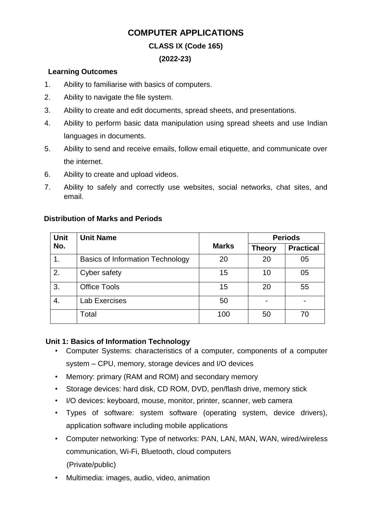# **COMPUTER APPLICATIONS**

## **CLASS IX (Code 165)**

### **(2022-23)**

### **Learning Outcomes**

- 1. Ability to familiarise with basics of computers.
- 2. Ability to navigate the file system.
- 3. Ability to create and edit documents, spread sheets, and presentations.
- 4. Ability to perform basic data manipulation using spread sheets and use Indian languages in documents.
- 5. Ability to send and receive emails, follow email etiquette, and communicate over the internet.
- 6. Ability to create and upload videos.
- 7. Ability to safely and correctly use websites, social networks, chat sites, and email.

| Unit | <b>Unit Name</b>                        |              | <b>Periods</b> |                  |
|------|-----------------------------------------|--------------|----------------|------------------|
| No.  |                                         | <b>Marks</b> | <b>Theory</b>  | <b>Practical</b> |
| 1.   | <b>Basics of Information Technology</b> | 20           | 20             | 05               |
| 2.   | Cyber safety                            | 15           | 10             | 05               |
| 3.   | <b>Office Tools</b>                     | 15           | 20             | 55               |
| 4.   | Lab Exercises                           | 50           |                |                  |
|      | Total                                   | 100          | 50             | 70               |

## **Distribution of Marks and Periods**

### **Unit 1: Basics of Information Technology**

- Computer Systems: characteristics of a computer, components of a computer system – CPU, memory, storage devices and I/O devices
- Memory: primary (RAM and ROM) and secondary memory
- Storage devices: hard disk, CD ROM, DVD, pen/flash drive, memory stick
- I/O devices: keyboard, mouse, monitor, printer, scanner, web camera
- Types of software: system software (operating system, device drivers), application software including mobile applications
- Computer networking: Type of networks: PAN, LAN, MAN, WAN, wired/wireless communication, Wi-Fi, Bluetooth, cloud computers (Private/public)
- Multimedia: images, audio, video, animation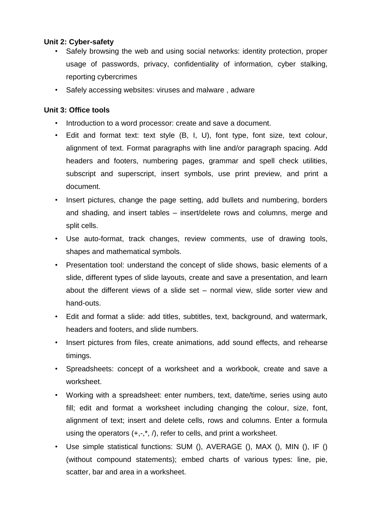### **Unit 2: Cyber-safety**

- Safely browsing the web and using social networks: identity protection, proper usage of passwords, privacy, confidentiality of information, cyber stalking, reporting cybercrimes
- Safely accessing websites: viruses and malware , adware

### **Unit 3: Office tools**

- Introduction to a word processor: create and save a document.
- Edit and format text: text style (B, I, U), font type, font size, text colour, alignment of text. Format paragraphs with line and/or paragraph spacing. Add headers and footers, numbering pages, grammar and spell check utilities, subscript and superscript, insert symbols, use print preview, and print a document.
- Insert pictures, change the page setting, add bullets and numbering, borders and shading, and insert tables – insert/delete rows and columns, merge and split cells.
- Use auto-format, track changes, review comments, use of drawing tools, shapes and mathematical symbols.
- Presentation tool: understand the concept of slide shows, basic elements of a slide, different types of slide layouts, create and save a presentation, and learn about the different views of a slide set – normal view, slide sorter view and hand-outs.
- Edit and format a slide: add titles, subtitles, text, background, and watermark, headers and footers, and slide numbers.
- Insert pictures from files, create animations, add sound effects, and rehearse timings.
- Spreadsheets: concept of a worksheet and a workbook, create and save a worksheet.
- Working with a spreadsheet: enter numbers, text, date/time, series using auto fill; edit and format a worksheet including changing the colour, size, font, alignment of text; insert and delete cells, rows and columns. Enter a formula using the operators  $(+,-,*,')$ , refer to cells, and print a worksheet.
- Use simple statistical functions: SUM (), AVERAGE (), MAX (), MIN (), IF () (without compound statements); embed charts of various types: line, pie, scatter, bar and area in a worksheet.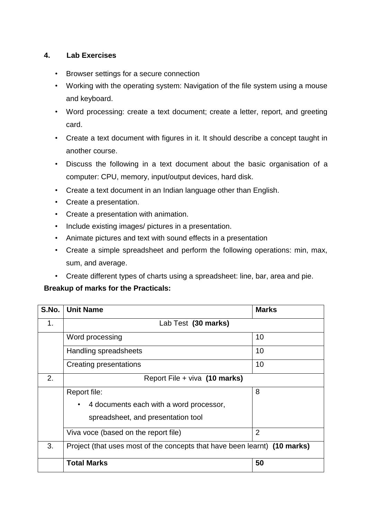## **4. Lab Exercises**

- Browser settings for a secure connection
- Working with the operating system: Navigation of the file system using a mouse and keyboard.
- Word processing: create a text document; create a letter, report, and greeting card.
- Create a text document with figures in it. It should describe a concept taught in another course.
- Discuss the following in a text document about the basic organisation of a computer: CPU, memory, input/output devices, hard disk.
- Create a text document in an Indian language other than English.
- Create a presentation.
- Create a presentation with animation.
- Include existing images/ pictures in a presentation.
- Animate pictures and text with sound effects in a presentation
- Create a simple spreadsheet and perform the following operations: min, max, sum, and average.
- Create different types of charts using a spreadsheet: line, bar, area and pie.

### **Breakup of marks for the Practicals:**

| S.No. | <b>Unit Name</b>                                                          | <b>Marks</b>   |  |
|-------|---------------------------------------------------------------------------|----------------|--|
| 1.    | Lab Test (30 marks)                                                       |                |  |
|       | Word processing                                                           | 10             |  |
|       | Handling spreadsheets                                                     | 10             |  |
|       | Creating presentations                                                    | 10             |  |
| 2.    | Report File + viva (10 marks)                                             |                |  |
|       | Report file:                                                              | 8              |  |
|       | 4 documents each with a word processor,<br>$\bullet$                      |                |  |
|       | spreadsheet, and presentation tool                                        |                |  |
|       | Viva voce (based on the report file)                                      | $\overline{2}$ |  |
| 3.    | Project (that uses most of the concepts that have been learnt) (10 marks) |                |  |
|       | <b>Total Marks</b>                                                        | 50             |  |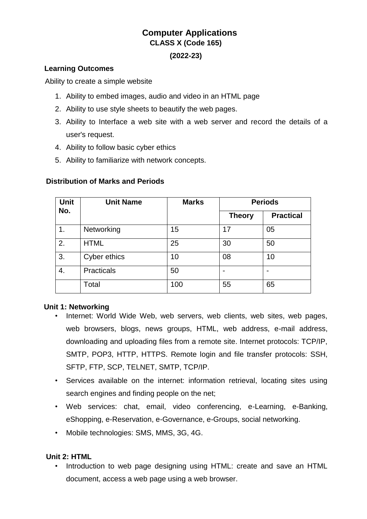# **Computer Applications CLASS X (Code 165)**

### **(2022-23)**

### **Learning Outcomes**

Ability to create a simple website

- 1. Ability to embed images, audio and video in an HTML page
- 2. Ability to use style sheets to beautify the web pages.
- 3. Ability to Interface a web site with a web server and record the details of a user's request.
- 4. Ability to follow basic cyber ethics
- 5. Ability to familiarize with network concepts.

### **Distribution of Marks and Periods**

| <b>Unit</b><br>No. | <b>Unit Name</b>  | <b>Marks</b> | <b>Periods</b> |                  |
|--------------------|-------------------|--------------|----------------|------------------|
|                    |                   |              | <b>Theory</b>  | <b>Practical</b> |
| 1.                 | Networking        | 15           | 17             | 05               |
| 2.                 | <b>HTML</b>       | 25           | 30             | 50               |
| 3.                 | Cyber ethics      | 10           | 08             | 10               |
| 4.                 | <b>Practicals</b> | 50           |                |                  |
|                    | Total             | 100          | 55             | 65               |

### **Unit 1: Networking**

- Internet: World Wide Web, web servers, web clients, web sites, web pages, web browsers, blogs, news groups, HTML, web address, e-mail address, downloading and uploading files from a remote site. Internet protocols: TCP/IP, SMTP, POP3, HTTP, HTTPS. Remote login and file transfer protocols: SSH, SFTP, FTP, SCP, TELNET, SMTP, TCP/IP.
- Services available on the internet: information retrieval, locating sites using search engines and finding people on the net;
- Web services: chat, email, video conferencing, e-Learning, e-Banking, eShopping, e-Reservation, e-Governance, e-Groups, social networking.
- Mobile technologies: SMS, MMS, 3G, 4G.

### **Unit 2: HTML**

• Introduction to web page designing using HTML: create and save an HTML document, access a web page using a web browser.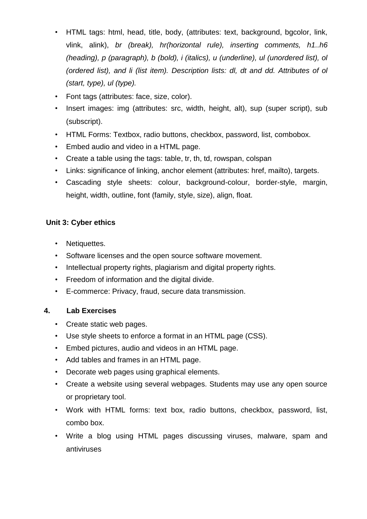- HTML tags: html, head, title, body, (attributes: text, background, bgcolor, link, vlink, alink), *br (break), hr(horizontal rule), inserting comments, h1..h6 (heading), p (paragraph), b (bold), i (italics), u (underline), ul (unordered list), ol (ordered list), and li (list item). Description lists: dl, dt and dd. Attributes of ol (start, type), ul (type).*
- Font tags (attributes: face, size, color).
- Insert images: img (attributes: src, width, height, alt), sup (super script), sub (subscript).
- HTML Forms: Textbox, radio buttons, checkbox, password, list, combobox.
- Embed audio and video in a HTML page.
- Create a table using the tags: table, tr, th, td, rowspan, colspan
- Links: significance of linking, anchor element (attributes: href, mailto), targets.
- Cascading style sheets: colour, background-colour, border-style, margin, height, width, outline, font (family, style, size), align, float.

## **Unit 3: Cyber ethics**

- Netiquettes.
- Software licenses and the open source software movement.
- Intellectual property rights, plagiarism and digital property rights.
- Freedom of information and the digital divide.
- E-commerce: Privacy, fraud, secure data transmission.

### **4. Lab Exercises**

- Create static web pages.
- Use style sheets to enforce a format in an HTML page (CSS).
- Embed pictures, audio and videos in an HTML page.
- Add tables and frames in an HTML page.
- Decorate web pages using graphical elements.
- Create a website using several webpages. Students may use any open source or proprietary tool.
- Work with HTML forms: text box, radio buttons, checkbox, password, list, combo box.
- Write a blog using HTML pages discussing viruses, malware, spam and antiviruses